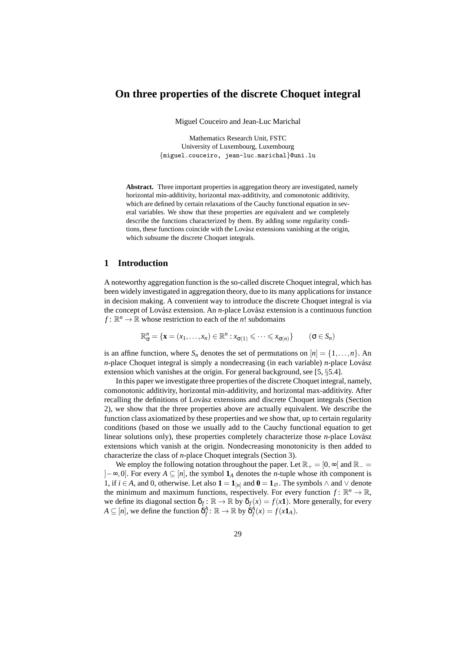# **On three properties of the discrete Choquet integral**

Miguel Couceiro and Jean-Luc Marichal

Mathematics Research Unit, FSTC University of Luxembourg, Luxembourg {miguel.couceiro, jean-luc.marichal}@uni.lu

**Abstract.** Three important properties in aggregation theory are investigated, namely horizontal min-additivity, horizontal max-additivity, and comonotonic additivity, which are defined by certain relaxations of the Cauchy functional equation in several variables. We show that these properties are equivalent and we completely describe the functions characterized by them. By adding some regularity conditions, these functions coincide with the Lovász extensions vanishing at the origin, which subsume the discrete Choquet integrals.

### **1 Introduction**

A noteworthy aggregation function is the so-called discrete Choquet integral, which has been widely investigated in aggregation theory, due to its many applications for instance in decision making. A convenient way to introduce the discrete Choquet integral is via the concept of Lovász extension. An *n*-place Lovász extension is a continuous function  $f: \mathbb{R}^n \to \mathbb{R}$  whose restriction to each of the *n*! subdomains

$$
\mathbb{R}^n_{\sigma} = \{ \mathbf{x} = (x_1, \dots, x_n) \in \mathbb{R}^n : x_{\sigma(1)} \leqslant \dots \leqslant x_{\sigma(n)} \} \qquad (\sigma \in S_n)
$$

is an affine function, where  $S_n$  denotes the set of permutations on  $[n] = \{1, \ldots, n\}$ . An  $n$ -place Choquet integral is simply a nondecreasing (in each variable)  $n$ -place Lovász extension which vanishes at the origin. For general background, see [5, §5.4].

In this paper we investigate three properties of the discrete Choquet integral, namely, comonotonic additivity, horizontal min-additivity, and horizontal max-additivity. After recalling the definitions of Lovász extensions and discrete Choquet integrals (Section 2), we show that the three properties above are actually equivalent. We describe the function class axiomatized by these properties and we show that, up to certain regularity conditions (based on those we usually add to the Cauchy functional equation to get linear solutions only), these properties completely characterize those *n*-place Lovász extensions which vanish at the origin. Nondecreasing monotonicity is then added to characterize the class of *n*-place Choquet integrals (Section 3).

We employ the following notation throughout the paper. Let  $\mathbb{R}_+ = [0, \infty)$  and  $\mathbb{R}_- =$ ]−∞,0]. For every *A* ⊆ [*n*], the symbol **1***<sup>A</sup>* denotes the *n*-tuple whose *i*th component is 1, if *i* ∈ *A*, and 0, otherwise. Let also **1** = **1**<sub>[*n*]</sub> and **0** = **1**<sub> $\varnothing$ </sub>. The symbols  $\land$  and  $\lor$  denote the minimum and maximum functions, respectively. For every function  $f: \mathbb{R}^n \to \mathbb{R}$ , we define its diagonal section  $\delta_f : \mathbb{R} \to \mathbb{R}$  by  $\delta_f(x) = f(x\mathbf{1})$ . More generally, for every  $A \subseteq [n]$ , we define the function  $\delta_f^A$ :  $\mathbb{R} \to \mathbb{R}$  by  $\delta_f^A(x) = f(x \mathbf{1}_A)$ .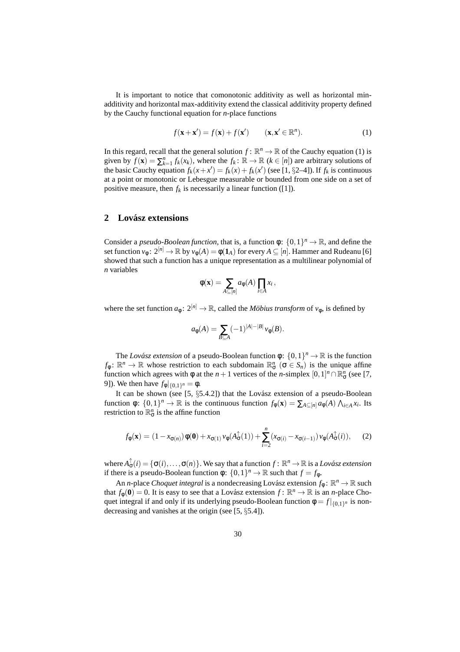It is important to notice that comonotonic additivity as well as horizontal minadditivity and horizontal max-additivity extend the classical additivity property defined by the Cauchy functional equation for *n*-place functions

$$
f(\mathbf{x} + \mathbf{x}') = f(\mathbf{x}) + f(\mathbf{x}') \qquad (\mathbf{x}, \mathbf{x}' \in \mathbb{R}^n). \tag{1}
$$

In this regard, recall that the general solution  $f: \mathbb{R}^n \to \mathbb{R}$  of the Cauchy equation (1) is given by  $f(\mathbf{x}) = \sum_{k=1}^{n} f_k(x_k)$ , where the  $f_k : \mathbb{R} \to \mathbb{R}$  ( $k \in [n]$ ) are arbitrary solutions of the basic Cauchy equation  $f_k(x + x') = f_k(x) + f_k(x')$  (see [1, §2–4]). If  $f_k$  is continuous at a point or monotonic or Lebesgue measurable or bounded from one side on a set of positive measure, then  $f_k$  is necessarily a linear function ([1]).

### **2 Lovasz extensions ´**

Consider a *pseudo-Boolean function*, that is, a function  $\phi$ :  $\{0,1\}^n \to \mathbb{R}$ , and define the set function  $v_{\phi}: 2^{[n]} \to \mathbb{R}$  by  $v_{\phi}(A) = \phi(1_A)$  for every  $A \subseteq [n]$ . Hammer and Rudeanu [6] showed that such a function has a unique representation as a multilinear polynomial of *n* variables

$$
\phi(\mathbf{x}) = \sum_{A \subseteq [n]} a_{\phi}(A) \prod_{i \in A} x_i,
$$

where the set function  $a_{\phi}$ :  $2^{[n]} \rightarrow \mathbb{R}$ , called the *Möbius transform* of  $v_{\phi}$ , is defined by

$$
a_{\phi}(A) = \sum_{B \subseteq A} (-1)^{|A| - |B|} v_{\phi}(B).
$$

The *Lovász extension* of a pseudo-Boolean function  $\phi$ :  $\{0,1\}^n \to \mathbb{R}$  is the function  $f_{\phi} \colon \mathbb{R}^n \to \mathbb{R}$  whose restriction to each subdomain  $\mathbb{R}^n_{\sigma}$  ( $\sigma \in S_n$ ) is the unique affine function which agrees with  $\phi$  at the *n* + 1 vertices of the *n*-simplex  $[0,1]^n \cap \mathbb{R}^n_{\sigma}$  (see [7, 9]). We then have  $f_{\phi}|_{\{0,1\}^n} = \phi$ .

It can be shown (see  $[5, \S5.4.2]$ ) that the Lovász extension of a pseudo-Boolean function  $\phi: \{0,1\}^n \to \mathbb{R}$  is the continuous function  $f_{\phi}(\mathbf{x}) = \sum_{A \subseteq [n]} a_{\phi}(A) \bigwedge_{i \in A} x_i$ . Its restriction to  $\mathbb{R}^n_{\sigma}$  is the affine function

$$
f_{\phi}(\mathbf{x}) = (1 - x_{\sigma(n)})\phi(\mathbf{0}) + x_{\sigma(1)}\nu_{\phi}(A_{\sigma}^{\uparrow}(1)) + \sum_{i=2}^{n} (x_{\sigma(i)} - x_{\sigma(i-1)})\nu_{\phi}(A_{\sigma}^{\uparrow}(i)), \quad (2)
$$

where  $A_{\sigma}^{\uparrow}(i) = \{\sigma(i), \ldots, \sigma(n)\}\.$  We say that a function  $f: \mathbb{R}^n \to \mathbb{R}$  is a *Lovász extension* if there is a pseudo-Boolean function  $\phi$ :  $\{0,1\}^n \to \mathbb{R}$  such that  $f = f_{\phi}$ .

An *n*-place *Choquet integral* is a nondecreasing Lovász extension  $f_{\phi}$ :  $\mathbb{R}^n \to \mathbb{R}$  such that  $f_{\phi}(\mathbf{0}) = 0$ . It is easy to see that a Lovász extension  $f: \mathbb{R}^n \to \mathbb{R}$  is an *n*-place Choquet integral if and only if its underlying pseudo-Boolean function  $\phi = f|_{\{0,1\}^n}$  is nondecreasing and vanishes at the origin (see [5, §5.4]).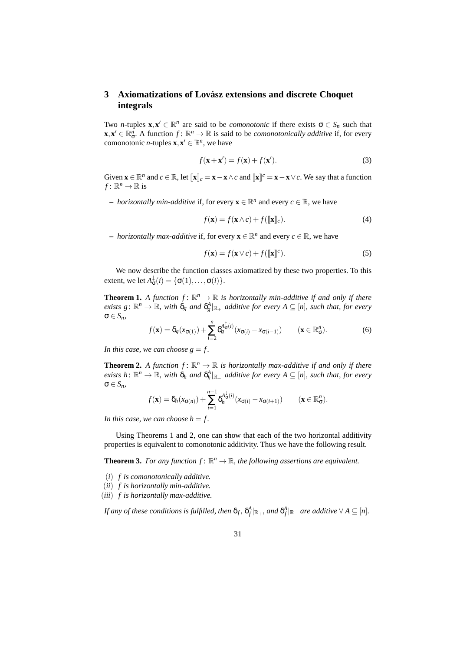## **3** Axiomatizations of Lovász extensions and discrete Choquet **integrals**

Two *n*-tuples  $\mathbf{x}, \mathbf{x}' \in \mathbb{R}^n$  are said to be *comonotonic* if there exists  $\sigma \in S_n$  such that  $\mathbf{x}, \mathbf{x}' \in \mathbb{R}^n_{\sigma}$ . A function  $f: \mathbb{R}^n \to \mathbb{R}$  is said to be *comonotonically additive* if, for every comonotonic *n*-tuples  $\mathbf{x}, \mathbf{x}' \in \mathbb{R}^n$ , we have

$$
f(\mathbf{x} + \mathbf{x}') = f(\mathbf{x}) + f(\mathbf{x}').
$$
\n(3)

Given  $\mathbf{x} \in \mathbb{R}^n$  and  $c \in \mathbb{R}$ , let  $[\![\mathbf{x}]\!]_c = \mathbf{x} - \mathbf{x} \wedge c$  and  $[\![\mathbf{x}]\!]^c = \mathbf{x} - \mathbf{x} \vee c$ . We say that a function  $f: \mathbb{R}^n \to \mathbb{R}$  is

**−** *horizontally min-additive* if, for every  $\mathbf{x} \in \mathbb{R}^n$  and every  $c \in \mathbb{R}$ , we have

$$
f(\mathbf{x}) = f(\mathbf{x} \wedge c) + f([\![\mathbf{x}]\!]_c). \tag{4}
$$

**−** *horizontally max-additive* if, for every  $\mathbf{x} \in \mathbb{R}^n$  and every  $c \in \mathbb{R}$ , we have

$$
f(\mathbf{x}) = f(\mathbf{x} \vee c) + f([\![\mathbf{x}]\!]^c). \tag{5}
$$

We now describe the function classes axiomatized by these two properties. To this extent, we let  $A^{\downarrow}_{\sigma}(i) = \{ \sigma(1), \ldots, \sigma(i) \}.$ 

**Theorem 1.** A function  $f: \mathbb{R}^n \to \mathbb{R}$  is horizontally min-additive if and only if there  $e$ xists  $g: \mathbb{R}^n \to \mathbb{R}$ *, with*  $\delta_g$  and  $\delta_g^A|_{\mathbb{R}_+}$  additive for every  $A \subseteq [n]$ *, such that, for every* σ ∈ *Sn,*

$$
f(\mathbf{x}) = \delta_g(x_{\sigma(1)}) + \sum_{i=2}^n \delta_g^{A_{\sigma}^{\dagger}(i)}(x_{\sigma(i)} - x_{\sigma(i-1)}) \qquad (\mathbf{x} \in \mathbb{R}_{\sigma}^n).
$$
 (6)

*In this case, we can choose*  $g = f$ *.* 

**Theorem 2.** A function  $f: \mathbb{R}^n \to \mathbb{R}$  is horizontally max-additive if and only if there *exists*  $h: \mathbb{R}^n \to \mathbb{R}$ *, with*  $\delta_h$  *and*  $\delta_h^A|_{\mathbb{R}_+}$  *additive for every*  $A \subseteq [n]$ *, such that, for every* σ ∈ *Sn,*

$$
f(\mathbf{x}) = \delta_h(x_{\sigma(n)}) + \sum_{i=1}^{n-1} \delta_h^{A_{\sigma}^{\downarrow}(i)}(x_{\sigma(i)} - x_{\sigma(i+1)}) \qquad (\mathbf{x} \in \mathbb{R}_{\sigma}^n).
$$

*In this case, we can choose*  $h = f$ *.* 

Using Theorems 1 and 2, one can show that each of the two horizontal additivity properties is equivalent to comonotonic additivity. Thus we have the following result.

**Theorem 3.** For any function  $f: \mathbb{R}^n \to \mathbb{R}$ , the following assertions are equivalent.

- (*i*) *f is comonotonically additive.*
- (*ii*) *f is horizontally min-additive.*

(*iii*) *f is horizontally max-additive.*

*If any of these conditions is fulfilled, then*  $\delta_f$ *,*  $\delta_f^A|_{\mathbb{R}_+}$ *, and*  $\delta_f^A|_{\mathbb{R}_-}$  *are additive*  $\forall A\subseteq [n].$